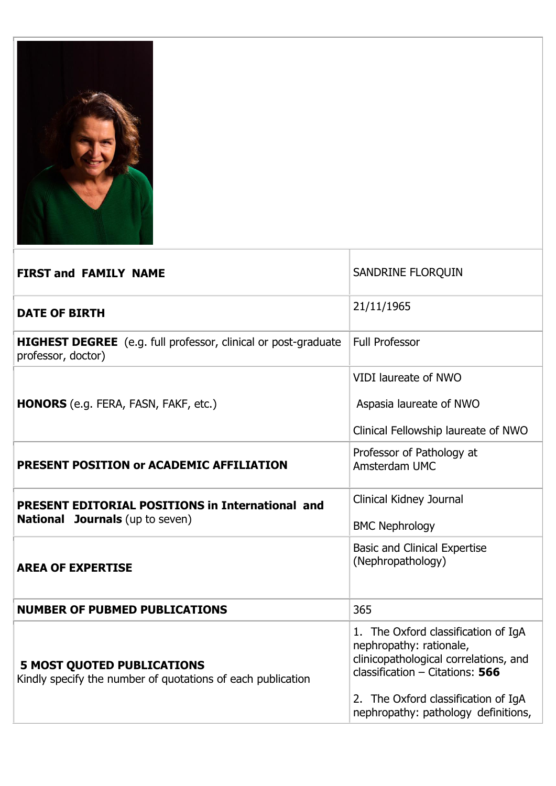

| <b>FIRST and FAMILY NAME</b>                                                                      | SANDRINE FLORQUIN                                                                                                                                                                                                          |
|---------------------------------------------------------------------------------------------------|----------------------------------------------------------------------------------------------------------------------------------------------------------------------------------------------------------------------------|
| <b>DATE OF BIRTH</b>                                                                              | 21/11/1965                                                                                                                                                                                                                 |
| <b>HIGHEST DEGREE</b> (e.g. full professor, clinical or post-graduate<br>professor, doctor)       | <b>Full Professor</b>                                                                                                                                                                                                      |
|                                                                                                   | <b>VIDI laureate of NWO</b>                                                                                                                                                                                                |
| <b>HONORS</b> (e.g. FERA, FASN, FAKF, etc.)                                                       | Aspasia laureate of NWO                                                                                                                                                                                                    |
|                                                                                                   | Clinical Fellowship laureate of NWO                                                                                                                                                                                        |
| PRESENT POSITION or ACADEMIC AFFILIATION                                                          | Professor of Pathology at<br>Amsterdam UMC                                                                                                                                                                                 |
| <b>PRESENT EDITORIAL POSITIONS in International and</b><br><b>National Journals</b> (up to seven) | Clinical Kidney Journal<br><b>BMC Nephrology</b>                                                                                                                                                                           |
| <b>AREA OF EXPERTISE</b>                                                                          | <b>Basic and Clinical Expertise</b><br>(Nephropathology)                                                                                                                                                                   |
| <b>NUMBER OF PUBMED PUBLICATIONS</b>                                                              | 365                                                                                                                                                                                                                        |
| <b>5 MOST QUOTED PUBLICATIONS</b><br>Kindly specify the number of quotations of each publication  | 1. The Oxford classification of IgA<br>nephropathy: rationale,<br>clinicopathological correlations, and<br>classification $-$ Citations: 566<br>2. The Oxford classification of IgA<br>nephropathy: pathology definitions, |